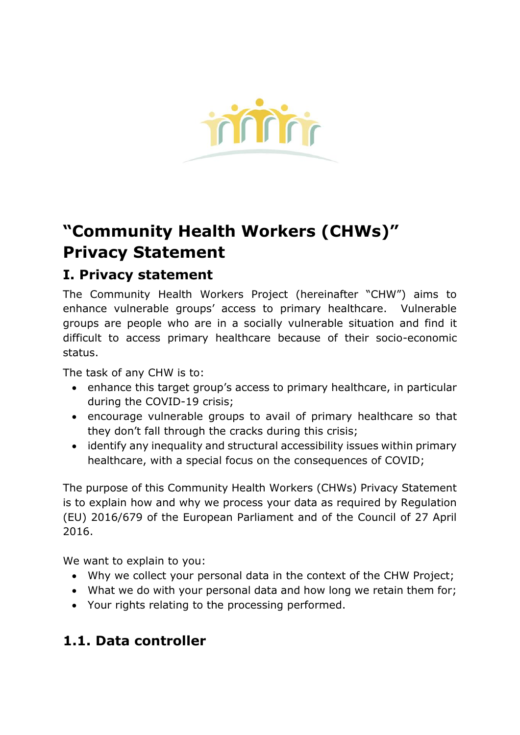

# **"Community Health Workers (CHWs)" Privacy Statement**

# **I. Privacy statement**

The Community Health Workers Project (hereinafter "CHW") aims to enhance vulnerable groups' access to primary healthcare. Vulnerable groups are people who are in a socially vulnerable situation and find it difficult to access primary healthcare because of their socio-economic status.

The task of any CHW is to:

- enhance this target group's access to primary healthcare, in particular during the COVID-19 crisis;
- encourage vulnerable groups to avail of primary healthcare so that they don't fall through the cracks during this crisis;
- identify any inequality and structural accessibility issues within primary healthcare, with a special focus on the consequences of COVID;

The purpose of this Community Health Workers (CHWs) Privacy Statement is to explain how and why we process your data as required by Regulation (EU) 2016/679 of the European Parliament and of the Council of 27 April 2016.

We want to explain to you:

- Why we collect your personal data in the context of the CHW Project;
- What we do with your personal data and how long we retain them for;
- Your rights relating to the processing performed.

# **1.1. Data controller**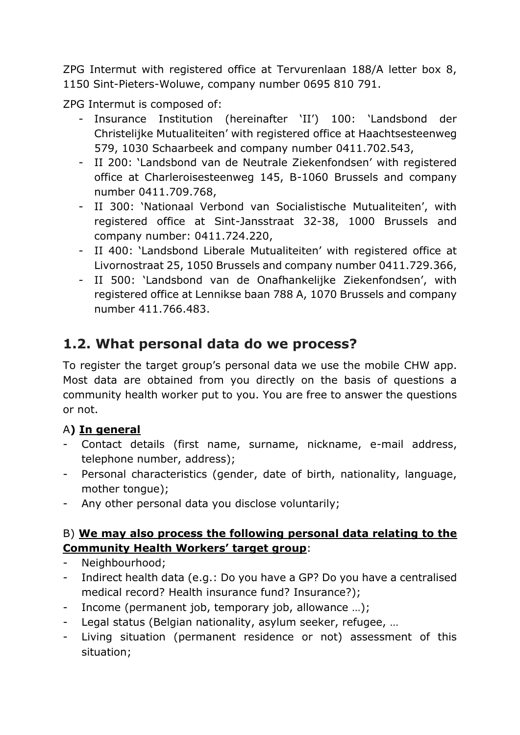ZPG Intermut with registered office at Tervurenlaan 188/A letter box 8, 1150 Sint-Pieters-Woluwe, company number 0695 810 791.

ZPG Intermut is composed of:

- Insurance Institution (hereinafter 'II') 100: 'Landsbond der Christelijke Mutualiteiten' with registered office at Haachtsesteenweg 579, 1030 Schaarbeek and company number 0411.702.543,
- II 200: 'Landsbond van de Neutrale Ziekenfondsen' with registered office at Charleroisesteenweg 145, B-1060 Brussels and company number 0411.709.768,
- II 300: 'Nationaal Verbond van Socialistische Mutualiteiten', with registered office at Sint-Jansstraat 32-38, 1000 Brussels and company number: 0411.724.220,
- II 400: 'Landsbond Liberale Mutualiteiten' with registered office at Livornostraat 25, 1050 Brussels and company number 0411.729.366,
- II 500: 'Landsbond van de Onafhankelijke Ziekenfondsen', with registered office at Lennikse baan 788 A, 1070 Brussels and company number 411.766.483.

# **1.2. What personal data do we process?**

To register the target group's personal data we use the mobile CHW app. Most data are obtained from you directly on the basis of questions a community health worker put to you. You are free to answer the questions or not.

#### A**) In general**

- Contact details (first name, surname, nickname, e-mail address, telephone number, address);
- Personal characteristics (gender, date of birth, nationality, language, mother tongue);
- Any other personal data you disclose voluntarily;

#### B) **We may also process the following personal data relating to the Community Health Workers' target group**:

- Neighbourhood;
- Indirect health data (e.g.: Do you have a GP? Do you have a centralised medical record? Health insurance fund? Insurance?);
- Income (permanent job, temporary job, allowance ...);
- Legal status (Belgian nationality, asylum seeker, refugee, …
- Living situation (permanent residence or not) assessment of this situation;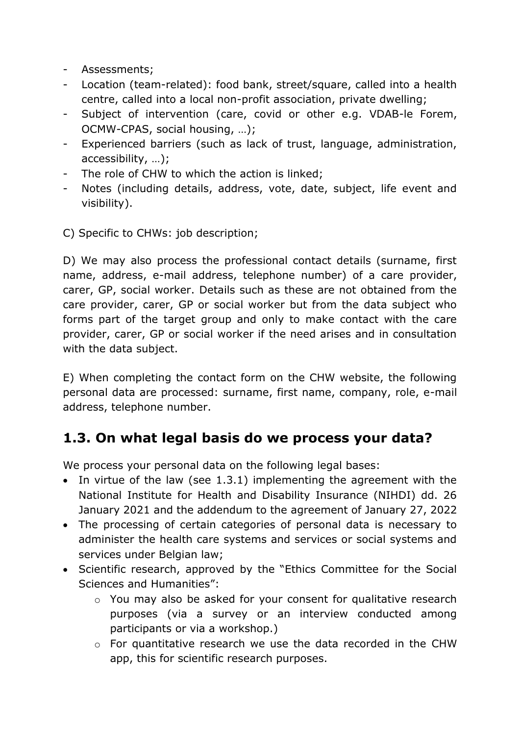- Assessments;
- Location (team-related): food bank, street/square, called into a health centre, called into a local non-profit association, private dwelling;
- Subject of intervention (care, covid or other e.g. VDAB-le Forem, OCMW-CPAS, social housing, …);
- Experienced barriers (such as lack of trust, language, administration, accessibility, …);
- The role of CHW to which the action is linked;
- Notes (including details, address, vote, date, subject, life event and visibility).

C) Specific to CHWs: job description;

D) We may also process the professional contact details (surname, first name, address, e-mail address, telephone number) of a care provider, carer, GP, social worker. Details such as these are not obtained from the care provider, carer, GP or social worker but from the data subject who forms part of the target group and only to make contact with the care provider, carer, GP or social worker if the need arises and in consultation with the data subject.

E) When completing the contact form on the CHW website, the following personal data are processed: surname, first name, company, role, e-mail address, telephone number.

### **1.3. On what legal basis do we process your data?**

We process your personal data on the following legal bases:

- In virtue of the law (see 1.3.1) implementing the agreement with the National Institute for Health and Disability Insurance (NIHDI) dd. 26 January 2021 and the addendum to the agreement of January 27, 2022
- The processing of certain categories of personal data is necessary to administer the health care systems and services or social systems and services under Belgian law;
- Scientific research, approved by the "Ethics Committee for the Social Sciences and Humanities":
	- o You may also be asked for your consent for qualitative research purposes (via a survey or an interview conducted among participants or via a workshop.)
	- o For quantitative research we use the data recorded in the CHW app, this for scientific research purposes.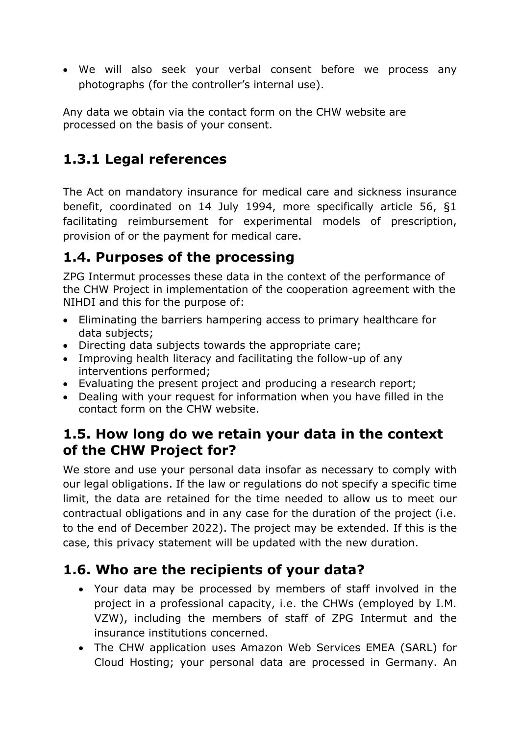• We will also seek your verbal consent before we process any photographs (for the controller's internal use).

Any data we obtain via the contact form on the CHW website are processed on the basis of your consent.

## **1.3.1 Legal references**

The Act on mandatory insurance for medical care and sickness insurance benefit, coordinated on 14 July 1994, more specifically article 56, §1 facilitating reimbursement for experimental models of prescription, provision of or the payment for medical care.

## **1.4. Purposes of the processing**

ZPG Intermut processes these data in the context of the performance of the CHW Project in implementation of the cooperation agreement with the NIHDI and this for the purpose of:

- Eliminating the barriers hampering access to primary healthcare for data subjects;
- Directing data subjects towards the appropriate care;
- Improving health literacy and facilitating the follow-up of any interventions performed;
- Evaluating the present project and producing a research report;
- Dealing with your request for information when you have filled in the contact form on the CHW website.

### **1.5. How long do we retain your data in the context of the CHW Project for?**

We store and use your personal data insofar as necessary to comply with our legal obligations. If the law or regulations do not specify a specific time limit, the data are retained for the time needed to allow us to meet our contractual obligations and in any case for the duration of the project (i.e. to the end of December 2022). The project may be extended. If this is the case, this privacy statement will be updated with the new duration.

# **1.6. Who are the recipients of your data?**

- Your data may be processed by members of staff involved in the project in a professional capacity, i.e. the CHWs (employed by I.M. VZW), including the members of staff of ZPG Intermut and the insurance institutions concerned.
- The CHW application uses Amazon Web Services EMEA (SARL) for Cloud Hosting; your personal data are processed in Germany. An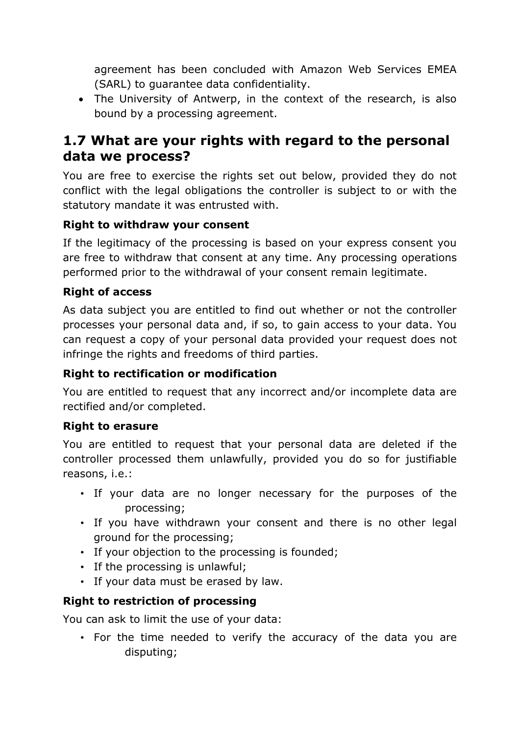agreement has been concluded with Amazon Web Services EMEA (SARL) to guarantee data confidentiality.

• The University of Antwerp, in the context of the research, is also bound by a processing agreement.

### **1.7 What are your rights with regard to the personal data we process?**

You are free to exercise the rights set out below, provided they do not conflict with the legal obligations the controller is subject to or with the statutory mandate it was entrusted with.

#### **Right to withdraw your consent**

If the legitimacy of the processing is based on your express consent you are free to withdraw that consent at any time. Any processing operations performed prior to the withdrawal of your consent remain legitimate.

#### **Right of access**

As data subject you are entitled to find out whether or not the controller processes your personal data and, if so, to gain access to your data. You can request a copy of your personal data provided your request does not infringe the rights and freedoms of third parties.

#### **Right to rectification or modification**

You are entitled to request that any incorrect and/or incomplete data are rectified and/or completed.

#### **Right to erasure**

You are entitled to request that your personal data are deleted if the controller processed them unlawfully, provided you do so for justifiable reasons, i.e.:

- If your data are no longer necessary for the purposes of the processing;
- If you have withdrawn your consent and there is no other legal ground for the processing;
- If your objection to the processing is founded;
- If the processing is unlawful;
- If your data must be erased by law.

#### **Right to restriction of processing**

You can ask to limit the use of your data:

• For the time needed to verify the accuracy of the data you are disputing;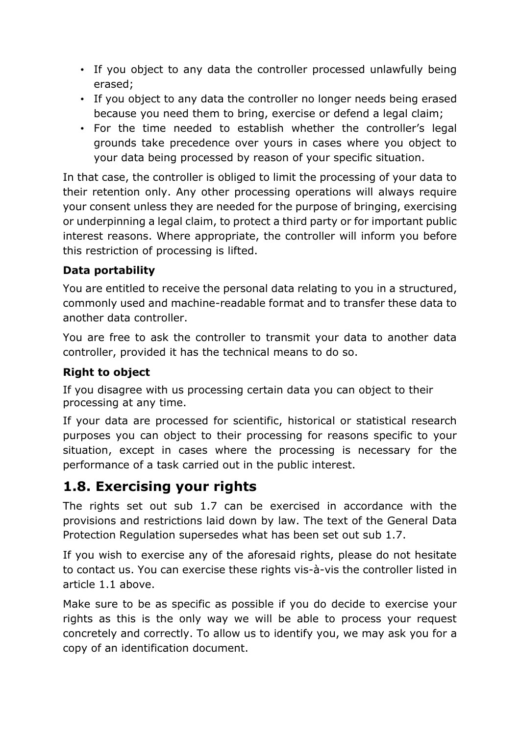- If you object to any data the controller processed unlawfully being erased;
- If you object to any data the controller no longer needs being erased because you need them to bring, exercise or defend a legal claim;
- For the time needed to establish whether the controller's legal grounds take precedence over yours in cases where you object to your data being processed by reason of your specific situation.

In that case, the controller is obliged to limit the processing of your data to their retention only. Any other processing operations will always require your consent unless they are needed for the purpose of bringing, exercising or underpinning a legal claim, to protect a third party or for important public interest reasons. Where appropriate, the controller will inform you before this restriction of processing is lifted.

#### **Data portability**

You are entitled to receive the personal data relating to you in a structured, commonly used and machine-readable format and to transfer these data to another data controller.

You are free to ask the controller to transmit your data to another data controller, provided it has the technical means to do so.

#### **Right to object**

If you disagree with us processing certain data you can object to their processing at any time.

If your data are processed for scientific, historical or statistical research purposes you can object to their processing for reasons specific to your situation, except in cases where the processing is necessary for the performance of a task carried out in the public interest.

### **1.8. Exercising your rights**

The rights set out sub 1.7 can be exercised in accordance with the provisions and restrictions laid down by law. The text of the General Data Protection Regulation supersedes what has been set out sub 1.7.

If you wish to exercise any of the aforesaid rights, please do not hesitate to contact us. You can exercise these rights vis-à-vis the controller listed in article 1.1 above.

Make sure to be as specific as possible if you do decide to exercise your rights as this is the only way we will be able to process your request concretely and correctly. To allow us to identify you, we may ask you for a copy of an identification document.